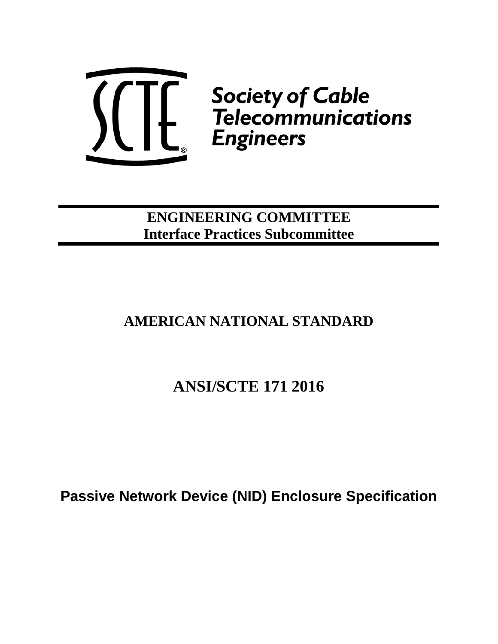

**ENGINEERING COMMITTEE Interface Practices Subcommittee**

# **AMERICAN NATIONAL STANDARD**

# **ANSI/SCTE 171 2016**

**Passive Network Device (NID) Enclosure Specification**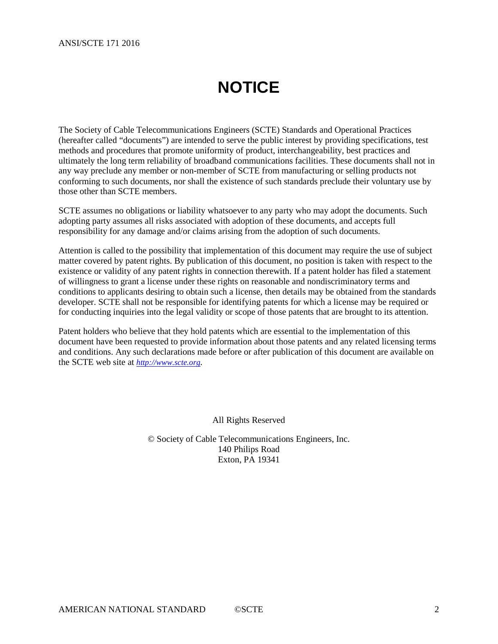# **NOTICE**

<span id="page-1-0"></span>The Society of Cable Telecommunications Engineers (SCTE) Standards and Operational Practices (hereafter called "documents") are intended to serve the public interest by providing specifications, test methods and procedures that promote uniformity of product, interchangeability, best practices and ultimately the long term reliability of broadband communications facilities. These documents shall not in any way preclude any member or non-member of SCTE from manufacturing or selling products not conforming to such documents, nor shall the existence of such standards preclude their voluntary use by those other than SCTE members.

SCTE assumes no obligations or liability whatsoever to any party who may adopt the documents. Such adopting party assumes all risks associated with adoption of these documents, and accepts full responsibility for any damage and/or claims arising from the adoption of such documents.

Attention is called to the possibility that implementation of this document may require the use of subject matter covered by patent rights. By publication of this document, no position is taken with respect to the existence or validity of any patent rights in connection therewith. If a patent holder has filed a statement of willingness to grant a license under these rights on reasonable and nondiscriminatory terms and conditions to applicants desiring to obtain such a license, then details may be obtained from the standards developer. SCTE shall not be responsible for identifying patents for which a license may be required or for conducting inquiries into the legal validity or scope of those patents that are brought to its attention.

Patent holders who believe that they hold patents which are essential to the implementation of this document have been requested to provide information about those patents and any related licensing terms and conditions. Any such declarations made before or after publication of this document are available on the SCTE web site at *[http://www.scte.org.](http://www.scte.org/)*

All Rights Reserved

© Society of Cable Telecommunications Engineers, Inc. 140 Philips Road Exton, PA 19341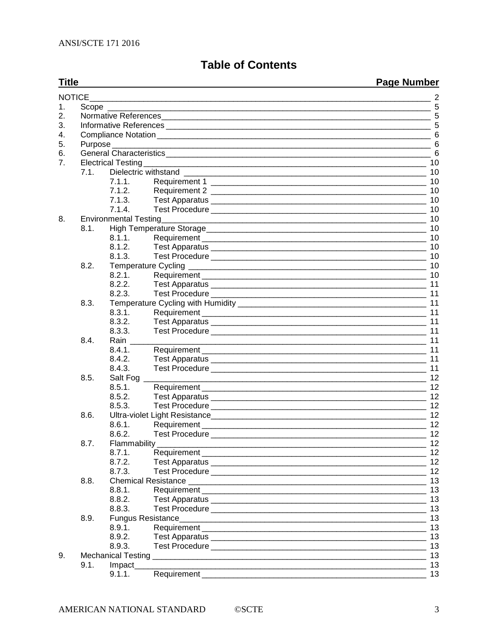## **Table of Contents**

| <b>Title</b> |        |                              |                     | <b>Page Number</b> |  |
|--------------|--------|------------------------------|---------------------|--------------------|--|
|              | NOTICE |                              |                     |                    |  |
| 1.           |        |                              |                     |                    |  |
| 2.           |        |                              |                     |                    |  |
| 3.           |        |                              |                     |                    |  |
| 4.           |        |                              |                     |                    |  |
| 5.           |        |                              |                     |                    |  |
| 6.           |        |                              |                     |                    |  |
| 7.           |        |                              |                     |                    |  |
|              | 7.1.   |                              |                     |                    |  |
|              |        | 7.1.1.                       |                     | 10                 |  |
|              |        | 7.1.2.                       |                     | 10                 |  |
|              |        | 7.1.3.                       |                     | 10                 |  |
|              |        | 7.1.4.                       |                     | 10                 |  |
| 8.           |        | <b>Environmental Testing</b> |                     | 10                 |  |
|              | 8.1.   |                              |                     |                    |  |
|              |        | 8.1.1.                       |                     | 10                 |  |
|              |        | 8.1.2.                       |                     | 10                 |  |
|              |        | 8.1.3.                       |                     | 10                 |  |
|              | 8.2.   |                              |                     |                    |  |
|              |        | 8.2.1.                       |                     |                    |  |
|              |        | 8.2.2.                       |                     |                    |  |
|              |        | 8.2.3.                       |                     | 11                 |  |
|              | 8.3.   |                              |                     | 11                 |  |
|              |        | 8.3.1.                       |                     | 11                 |  |
|              |        | 8.3.2.                       |                     | 11                 |  |
|              |        | 8.3.3.                       |                     | 11                 |  |
|              | 8.4.   | Rain                         |                     | 11                 |  |
|              |        | 8.4.1.                       |                     | 11                 |  |
|              |        | 8.4.2.                       |                     | 11                 |  |
|              |        | 8.4.3.                       |                     | 11                 |  |
|              | 8.5.   | Salt Fog _                   |                     |                    |  |
|              |        | 8.5.1.                       |                     |                    |  |
|              |        | 8.5.2.                       |                     |                    |  |
|              |        | 8.5.3.                       |                     | 12                 |  |
|              | 8.6.   |                              |                     | 12                 |  |
|              |        | 8.6.1.                       |                     | 12                 |  |
|              |        | 8.6.2.                       |                     | 12                 |  |
|              | 8.7.   |                              | Flammability_______ | 12                 |  |
|              |        | 8.7.1.                       |                     |                    |  |
|              |        | 8.7.2.                       |                     |                    |  |
|              |        | 8.7.3.                       |                     | 12                 |  |
|              | 8.8.   |                              |                     | 13                 |  |
|              |        | 8.8.1.                       |                     | 13                 |  |
|              |        | 8.8.2.                       |                     |                    |  |
|              |        | 8.8.3.                       |                     | 13                 |  |
|              | 8.9.   |                              |                     | 13                 |  |
|              |        | 8.9.1.                       |                     | 13                 |  |
|              |        | 8.9.2.                       |                     | 13                 |  |
|              |        | 8.9.3.                       |                     | 13                 |  |
| 9.           |        |                              |                     | 13                 |  |
|              | 9.1.   | Impact_                      |                     | 13                 |  |
|              |        | 9.1.1.                       |                     | 13                 |  |
|              |        |                              |                     |                    |  |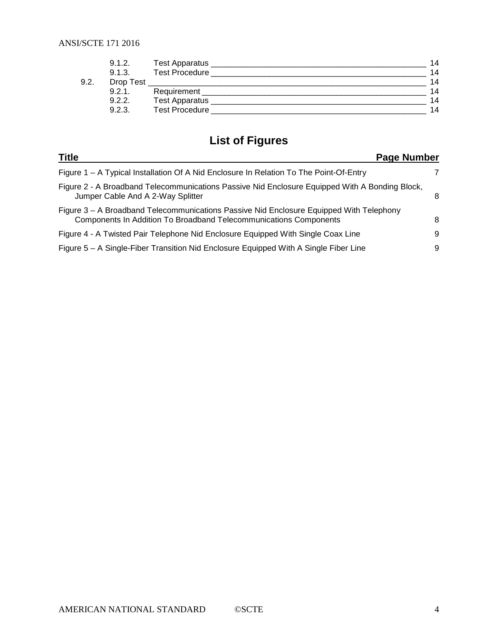|      | 9.1.2.    | Test Apparatus        | 14 |
|------|-----------|-----------------------|----|
|      | 9.1.3.    | <b>Test Procedure</b> | 14 |
| 9.2. | Drop Test |                       | 14 |
|      | 9.2.1.    | Requirement           | 14 |
|      | 9.2.2.    | <b>Test Apparatus</b> | 14 |
|      | 9.2.3.    | <b>Test Procedure</b> | 14 |

## **List of Figures**

| <b>Title</b><br>Page Number                                                                                                                                         |   |
|---------------------------------------------------------------------------------------------------------------------------------------------------------------------|---|
| Figure 1 – A Typical Installation Of A Nid Enclosure In Relation To The Point-Of-Entry                                                                              |   |
| Figure 2 - A Broadband Telecommunications Passive Nid Enclosure Equipped With A Bonding Block,<br>Jumper Cable And A 2-Way Splitter                                 | 8 |
| Figure 3 – A Broadband Telecommunications Passive Nid Enclosure Equipped With Telephony<br><b>Components In Addition To Broadband Telecommunications Components</b> | 8 |
| Figure 4 - A Twisted Pair Telephone Nid Enclosure Equipped With Single Coax Line                                                                                    | 9 |
| Figure 5 – A Single-Fiber Transition Nid Enclosure Equipped With A Single Fiber Line                                                                                | 9 |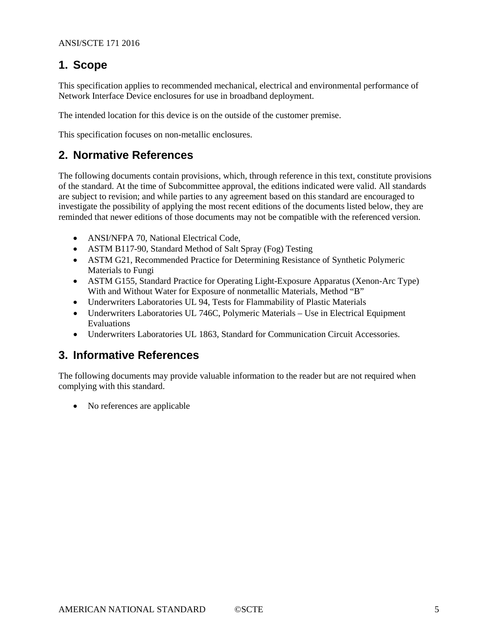## <span id="page-4-0"></span>**1. Scope**

This specification applies to recommended mechanical, electrical and environmental performance of Network Interface Device enclosures for use in broadband deployment.

The intended location for this device is on the outside of the customer premise.

This specification focuses on non-metallic enclosures.

## <span id="page-4-1"></span>**2. Normative References**

The following documents contain provisions, which, through reference in this text, constitute provisions of the standard. At the time of Subcommittee approval, the editions indicated were valid. All standards are subject to revision; and while parties to any agreement based on this standard are encouraged to investigate the possibility of applying the most recent editions of the documents listed below, they are reminded that newer editions of those documents may not be compatible with the referenced version.

- ANSI/NFPA 70, National Electrical Code,
- ASTM B117-90, Standard Method of Salt Spray (Fog) Testing
- ASTM G21, Recommended Practice for Determining Resistance of Synthetic Polymeric Materials to Fungi
- ASTM G155, Standard Practice for Operating Light-Exposure Apparatus (Xenon-Arc Type) With and Without Water for Exposure of nonmetallic Materials, Method "B"
- Underwriters Laboratories UL 94, Tests for Flammability of Plastic Materials
- Underwriters Laboratories UL 746C, Polymeric Materials Use in Electrical Equipment Evaluations
- Underwriters Laboratories UL 1863, Standard for Communication Circuit Accessories.

## <span id="page-4-2"></span>**3. Informative References**

The following documents may provide valuable information to the reader but are not required when complying with this standard.

• No references are applicable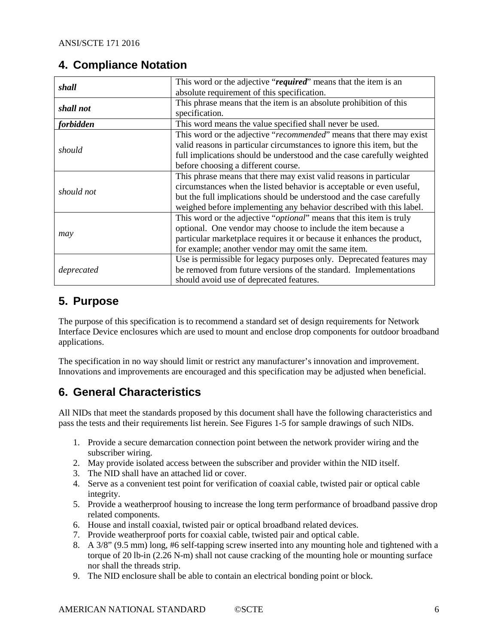## <span id="page-5-0"></span>**4. Compliance Notation**

| shall      | This word or the adjective "required" means that the item is an              |  |
|------------|------------------------------------------------------------------------------|--|
|            | absolute requirement of this specification.                                  |  |
| shall not  | This phrase means that the item is an absolute prohibition of this           |  |
|            | specification.                                                               |  |
| forbidden  | This word means the value specified shall never be used.                     |  |
|            | This word or the adjective "recommended" means that there may exist          |  |
| should     | valid reasons in particular circumstances to ignore this item, but the       |  |
|            | full implications should be understood and the case carefully weighted       |  |
|            | before choosing a different course.                                          |  |
|            | This phrase means that there may exist valid reasons in particular           |  |
| should not | circumstances when the listed behavior is acceptable or even useful,         |  |
|            | but the full implications should be understood and the case carefully        |  |
|            | weighed before implementing any behavior described with this label.          |  |
|            | This word or the adjective " <i>optional</i> " means that this item is truly |  |
|            | optional. One vendor may choose to include the item because a                |  |
| may        | particular marketplace requires it or because it enhances the product,       |  |
|            | for example; another vendor may omit the same item.                          |  |
|            | Use is permissible for legacy purposes only. Deprecated features may         |  |
| deprecated | be removed from future versions of the standard. Implementations             |  |
|            | should avoid use of deprecated features.                                     |  |

## <span id="page-5-1"></span>**5. Purpose**

The purpose of this specification is to recommend a standard set of design requirements for Network Interface Device enclosures which are used to mount and enclose drop components for outdoor broadband applications.

The specification in no way should limit or restrict any manufacturer's innovation and improvement. Innovations and improvements are encouraged and this specification may be adjusted when beneficial.

## <span id="page-5-2"></span>**6. General Characteristics**

All NIDs that meet the standards proposed by this document shall have the following characteristics and pass the tests and their requirements list herein. See Figures 1-5 for sample drawings of such NIDs.

- 1. Provide a secure demarcation connection point between the network provider wiring and the subscriber wiring.
- 2. May provide isolated access between the subscriber and provider within the NID itself.
- 3. The NID shall have an attached lid or cover.
- 4. Serve as a convenient test point for verification of coaxial cable, twisted pair or optical cable integrity.
- 5. Provide a weatherproof housing to increase the long term performance of broadband passive drop related components.
- 6. House and install coaxial, twisted pair or optical broadband related devices.
- 7. Provide weatherproof ports for coaxial cable, twisted pair and optical cable.
- 8. A 3/8" (9.5 mm) long, #6 self-tapping screw inserted into any mounting hole and tightened with a torque of 20 lb-in (2.26 N-m) shall not cause cracking of the mounting hole or mounting surface nor shall the threads strip.
- 9. The NID enclosure shall be able to contain an electrical bonding point or block.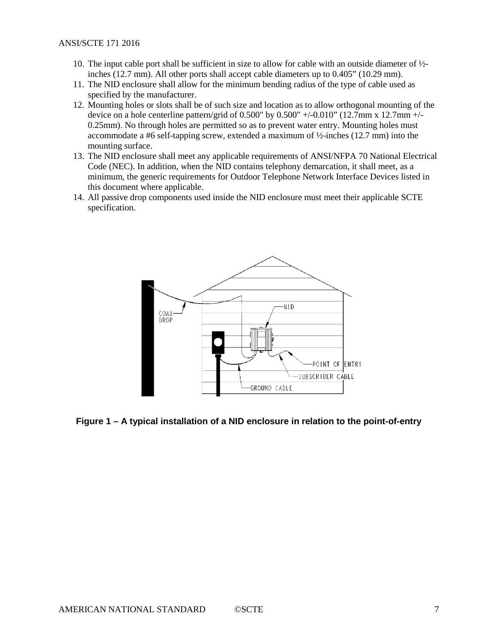- 10. The input cable port shall be sufficient in size to allow for cable with an outside diameter of ½ inches (12.7 mm). All other ports shall accept cable diameters up to 0.405" (10.29 mm).
- 11. The NID enclosure shall allow for the minimum bending radius of the type of cable used as specified by the manufacturer.
- 12. Mounting holes or slots shall be of such size and location as to allow orthogonal mounting of the device on a hole centerline pattern/grid of  $0.500"$  by  $0.500"$  +/- $0.010"$  (12.7mm x 12.7mm +/-0.25mm). No through holes are permitted so as to prevent water entry. Mounting holes must accommodate a #6 self-tapping screw, extended a maximum of ½-inches (12.7 mm) into the mounting surface.
- 13. The NID enclosure shall meet any applicable requirements of ANSI/NFPA 70 National Electrical Code (NEC). In addition, when the NID contains telephony demarcation, it shall meet, as a minimum, the generic requirements for Outdoor Telephone Network Interface Devices listed in this document where applicable.
- 14. All passive drop components used inside the NID enclosure must meet their applicable SCTE specification.



#### <span id="page-6-0"></span>**Figure 1 – A typical installation of a NID enclosure in relation to the point-of-entry**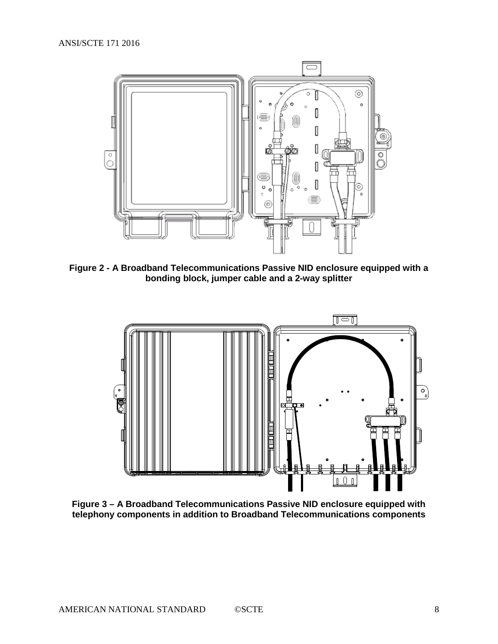

<span id="page-7-0"></span>**Figure 2 - A Broadband Telecommunications Passive NID enclosure equipped with a bonding block, jumper cable and a 2-way splitter**



<span id="page-7-1"></span>**Figure 3 – A Broadband Telecommunications Passive NID enclosure equipped with telephony components in addition to Broadband Telecommunications components**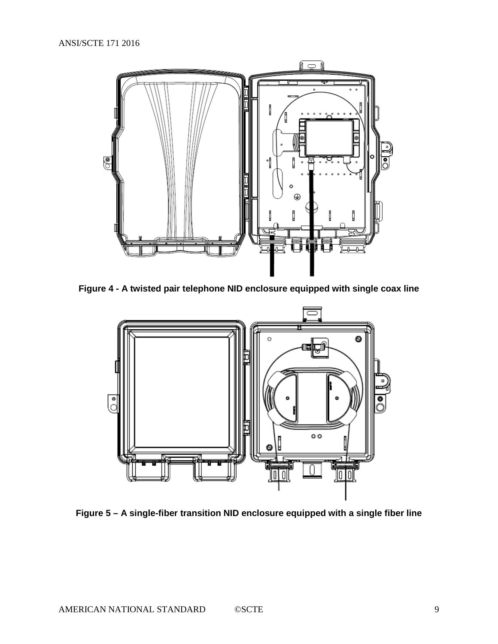

<span id="page-8-0"></span>**Figure 4 - A twisted pair telephone NID enclosure equipped with single coax line**



<span id="page-8-1"></span>**Figure 5 – A single-fiber transition NID enclosure equipped with a single fiber line**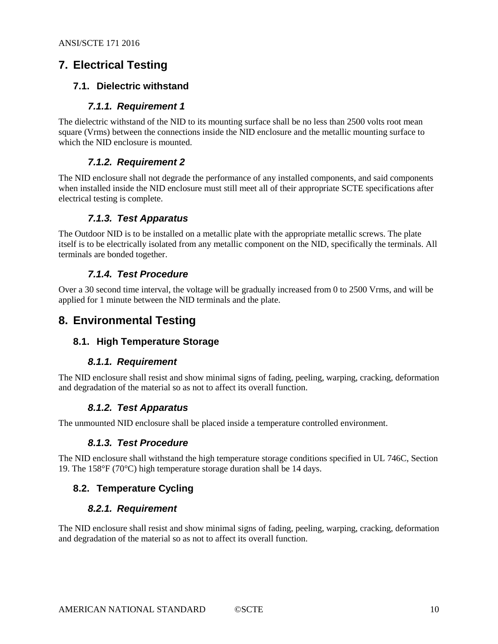## <span id="page-9-0"></span>**7. Electrical Testing**

#### <span id="page-9-1"></span>**7.1. Dielectric withstand**

#### *7.1.1. Requirement 1*

<span id="page-9-2"></span>The dielectric withstand of the NID to its mounting surface shall be no less than 2500 volts root mean square (Vrms) between the connections inside the NID enclosure and the metallic mounting surface to which the NID enclosure is mounted.

#### *7.1.2. Requirement 2*

<span id="page-9-3"></span>The NID enclosure shall not degrade the performance of any installed components, and said components when installed inside the NID enclosure must still meet all of their appropriate SCTE specifications after electrical testing is complete.

#### *7.1.3. Test Apparatus*

<span id="page-9-4"></span>The Outdoor NID is to be installed on a metallic plate with the appropriate metallic screws. The plate itself is to be electrically isolated from any metallic component on the NID, specifically the terminals. All terminals are bonded together.

#### *7.1.4. Test Procedure*

<span id="page-9-5"></span>Over a 30 second time interval, the voltage will be gradually increased from 0 to 2500 Vrms, and will be applied for 1 minute between the NID terminals and the plate.

### <span id="page-9-7"></span><span id="page-9-6"></span>**8. Environmental Testing**

#### **8.1. High Temperature Storage**

#### *8.1.1. Requirement*

<span id="page-9-9"></span><span id="page-9-8"></span>The NID enclosure shall resist and show minimal signs of fading, peeling, warping, cracking, deformation and degradation of the material so as not to affect its overall function.

#### *8.1.2. Test Apparatus*

<span id="page-9-10"></span>The unmounted NID enclosure shall be placed inside a temperature controlled environment.

#### *8.1.3. Test Procedure*

The NID enclosure shall withstand the high temperature storage conditions specified in UL 746C, Section 19. The 158°F (70°C) high temperature storage duration shall be 14 days.

#### <span id="page-9-12"></span><span id="page-9-11"></span>**8.2. Temperature Cycling**

#### *8.2.1. Requirement*

The NID enclosure shall resist and show minimal signs of fading, peeling, warping, cracking, deformation and degradation of the material so as not to affect its overall function.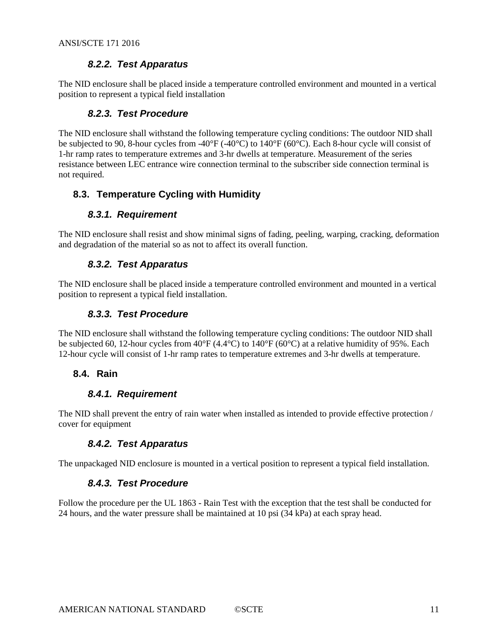#### *8.2.2. Test Apparatus*

<span id="page-10-1"></span><span id="page-10-0"></span>The NID enclosure shall be placed inside a temperature controlled environment and mounted in a vertical position to represent a typical field installation

#### *8.2.3. Test Procedure*

The NID enclosure shall withstand the following temperature cycling conditions: The outdoor NID shall be subjected to 90, 8-hour cycles from -40°F (-40°C) to 140°F (60°C). Each 8-hour cycle will consist of 1-hr ramp rates to temperature extremes and 3-hr dwells at temperature. Measurement of the series resistance between LEC entrance wire connection terminal to the subscriber side connection terminal is not required.

#### <span id="page-10-3"></span><span id="page-10-2"></span>**8.3. Temperature Cycling with Humidity**

#### *8.3.1. Requirement*

<span id="page-10-4"></span>The NID enclosure shall resist and show minimal signs of fading, peeling, warping, cracking, deformation and degradation of the material so as not to affect its overall function.

#### *8.3.2. Test Apparatus*

<span id="page-10-5"></span>The NID enclosure shall be placed inside a temperature controlled environment and mounted in a vertical position to represent a typical field installation.

#### *8.3.3. Test Procedure*

The NID enclosure shall withstand the following temperature cycling conditions: The outdoor NID shall be subjected 60, 12-hour cycles from 40°F (4.4°C) to 140°F (60°C) at a relative humidity of 95%. Each 12-hour cycle will consist of 1-hr ramp rates to temperature extremes and 3-hr dwells at temperature.

#### <span id="page-10-7"></span><span id="page-10-6"></span>**8.4. Rain**

#### *8.4.1. Requirement*

<span id="page-10-8"></span>The NID shall prevent the entry of rain water when installed as intended to provide effective protection / cover for equipment

#### *8.4.2. Test Apparatus*

<span id="page-10-9"></span>The unpackaged NID enclosure is mounted in a vertical position to represent a typical field installation.

#### *8.4.3. Test Procedure*

Follow the procedure per the UL 1863 - Rain Test with the exception that the test shall be conducted for 24 hours, and the water pressure shall be maintained at 10 psi (34 kPa) at each spray head.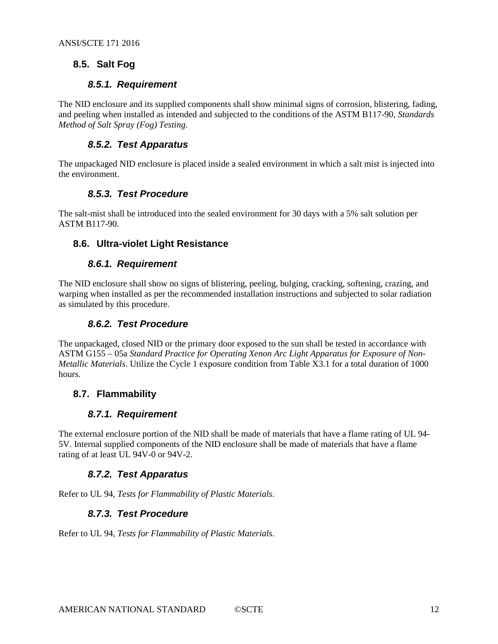#### <span id="page-11-1"></span><span id="page-11-0"></span>**8.5. Salt Fog**

#### *8.5.1. Requirement*

The NID enclosure and its supplied components shall show minimal signs of corrosion, blistering, fading, and peeling when installed as intended and subjected to the conditions of the ASTM B117-90, *Standards Method of Salt Spray (Fog) Testing.*

#### *8.5.2. Test Apparatus*

<span id="page-11-3"></span><span id="page-11-2"></span>The unpackaged NID enclosure is placed inside a sealed environment in which a salt mist is injected into the environment.

#### *8.5.3. Test Procedure*

The salt-mist shall be introduced into the sealed environment for 30 days with a 5% salt solution per ASTM B117-90.

#### <span id="page-11-5"></span><span id="page-11-4"></span>**8.6. Ultra-violet Light Resistance**

#### *8.6.1. Requirement*

<span id="page-11-6"></span>The NID enclosure shall show no signs of blistering, peeling, bulging, cracking, softening, crazing, and warping when installed as per the recommended installation instructions and subjected to solar radiation as simulated by this procedure.

#### *8.6.2. Test Procedure*

The unpackaged, closed NID or the primary door exposed to the sun shall be tested in accordance with ASTM G155 – 05a *Standard Practice for Operating Xenon Arc Light Apparatus for Exposure of Non-Metallic Materials*. Utilize the Cycle 1 exposure condition from Table X3.1 for a total duration of 1000 hours.

#### <span id="page-11-8"></span><span id="page-11-7"></span>**8.7. Flammability**

#### *8.7.1. Requirement*

The external enclosure portion of the NID shall be made of materials that have a flame rating of UL 94- 5V. Internal supplied components of the NID enclosure shall be made of materials that have a flame rating of at least UL 94V-0 or 94V-2.

#### *8.7.2. Test Apparatus*

<span id="page-11-10"></span><span id="page-11-9"></span>Refer to UL 94, *Tests for Flammability of Plastic Materials*.

#### *8.7.3. Test Procedure*

Refer to UL 94, *Tests for Flammability of Plastic Materials*.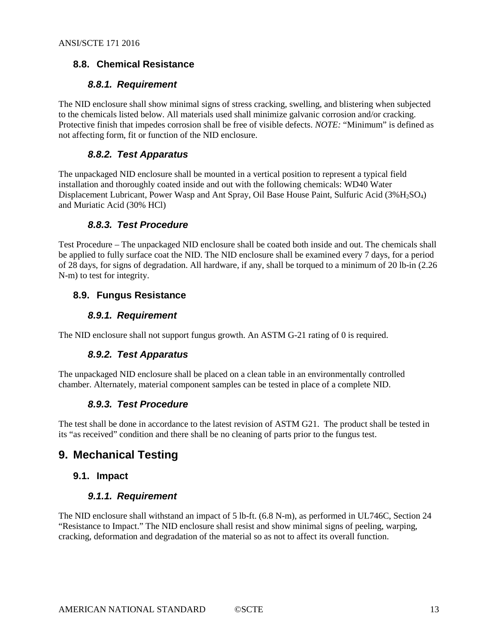#### <span id="page-12-1"></span><span id="page-12-0"></span>**8.8. Chemical Resistance**

#### *8.8.1. Requirement*

The NID enclosure shall show minimal signs of stress cracking, swelling, and blistering when subjected to the chemicals listed below. All materials used shall minimize galvanic corrosion and/or cracking. Protective finish that impedes corrosion shall be free of visible defects. *NOTE:* "Minimum" is defined as not affecting form, fit or function of the NID enclosure.

#### *8.8.2. Test Apparatus*

<span id="page-12-2"></span>The unpackaged NID enclosure shall be mounted in a vertical position to represent a typical field installation and thoroughly coated inside and out with the following chemicals: WD40 Water Displacement Lubricant, Power Wasp and Ant Spray, Oil Base House Paint, Sulfuric Acid (3%H2SO4) and Muriatic Acid (30% HCl)

#### *8.8.3. Test Procedure*

<span id="page-12-3"></span>Test Procedure – The unpackaged NID enclosure shall be coated both inside and out. The chemicals shall be applied to fully surface coat the NID. The NID enclosure shall be examined every 7 days, for a period of 28 days, for signs of degradation. All hardware, if any, shall be torqued to a minimum of 20 lb-in (2.26 N-m) to test for integrity.

#### <span id="page-12-5"></span><span id="page-12-4"></span>**8.9. Fungus Resistance**

#### *8.9.1. Requirement*

<span id="page-12-6"></span>The NID enclosure shall not support fungus growth. An ASTM G-21 rating of 0 is required.

#### *8.9.2. Test Apparatus*

<span id="page-12-7"></span>The unpackaged NID enclosure shall be placed on a clean table in an environmentally controlled chamber. Alternately, material component samples can be tested in place of a complete NID.

#### *8.9.3. Test Procedure*

The test shall be done in accordance to the latest revision of ASTM G21. The product shall be tested in its "as received" condition and there shall be no cleaning of parts prior to the fungus test.

## <span id="page-12-8"></span>**9. Mechanical Testing**

#### <span id="page-12-10"></span><span id="page-12-9"></span>**9.1. Impact**

#### *9.1.1. Requirement*

The NID enclosure shall withstand an impact of 5 lb-ft. (6.8 N-m), as performed in UL746C, Section 24 "Resistance to Impact." The NID enclosure shall resist and show minimal signs of peeling, warping, cracking, deformation and degradation of the material so as not to affect its overall function.